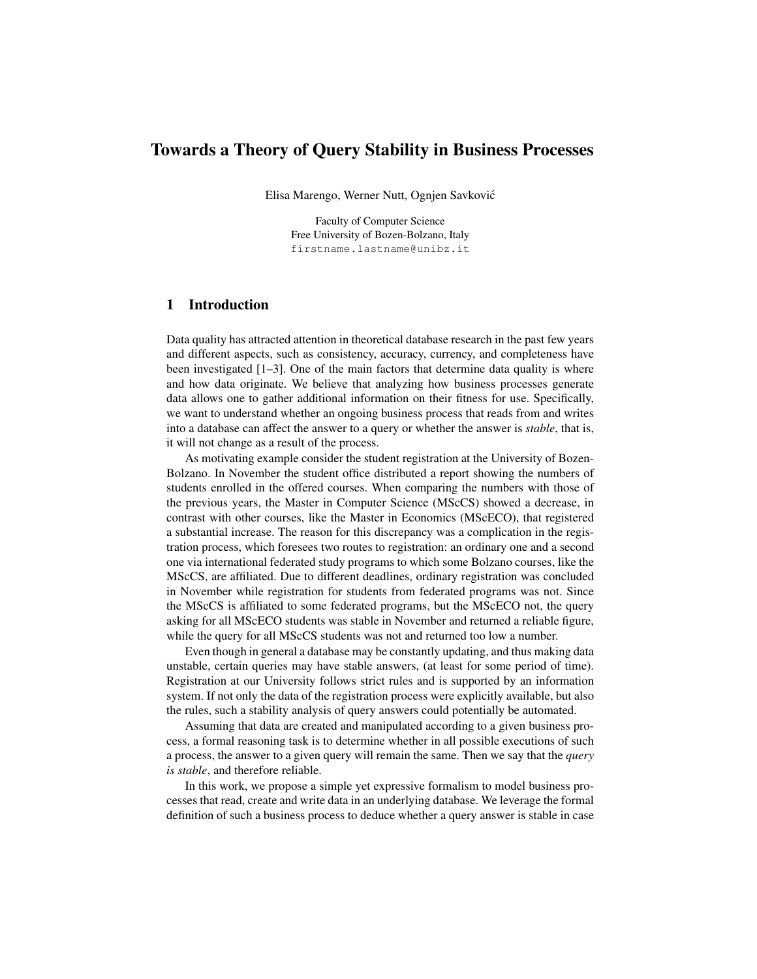# Towards a Theory of Query Stability in Business Processes

Elisa Marengo, Werner Nutt, Ognjen Savkovic´

Faculty of Computer Science Free University of Bozen-Bolzano, Italy firstname.lastname@unibz.it

# 1 Introduction

Data quality has attracted attention in theoretical database research in the past few years and different aspects, such as consistency, accuracy, currency, and completeness have been investigated  $[1-3]$ . One of the main factors that determine data quality is where and how data originate. We believe that analyzing how business processes generate data allows one to gather additional information on their fitness for use. Specifically, we want to understand whether an ongoing business process that reads from and writes into a database can affect the answer to a query or whether the answer is *stable*, that is, it will not change as a result of the process.

As motivating example consider the student registration at the University of Bozen-Bolzano. In November the student office distributed a report showing the numbers of students enrolled in the offered courses. When comparing the numbers with those of the previous years, the Master in Computer Science (MScCS) showed a decrease, in contrast with other courses, like the Master in Economics (MScECO), that registered a substantial increase. The reason for this discrepancy was a complication in the registration process, which foresees two routes to registration: an ordinary one and a second one via international federated study programs to which some Bolzano courses, like the MScCS, are affiliated. Due to different deadlines, ordinary registration was concluded in November while registration for students from federated programs was not. Since the MScCS is affiliated to some federated programs, but the MScECO not, the query asking for all MScECO students was stable in November and returned a reliable figure, while the query for all MScCS students was not and returned too low a number.

Even though in general a database may be constantly updating, and thus making data unstable, certain queries may have stable answers, (at least for some period of time). Registration at our University follows strict rules and is supported by an information system. If not only the data of the registration process were explicitly available, but also the rules, such a stability analysis of query answers could potentially be automated.

Assuming that data are created and manipulated according to a given business process, a formal reasoning task is to determine whether in all possible executions of such a process, the answer to a given query will remain the same. Then we say that the *query is stable*, and therefore reliable.

In this work, we propose a simple yet expressive formalism to model business processes that read, create and write data in an underlying database. We leverage the formal definition of such a business process to deduce whether a query answer is stable in case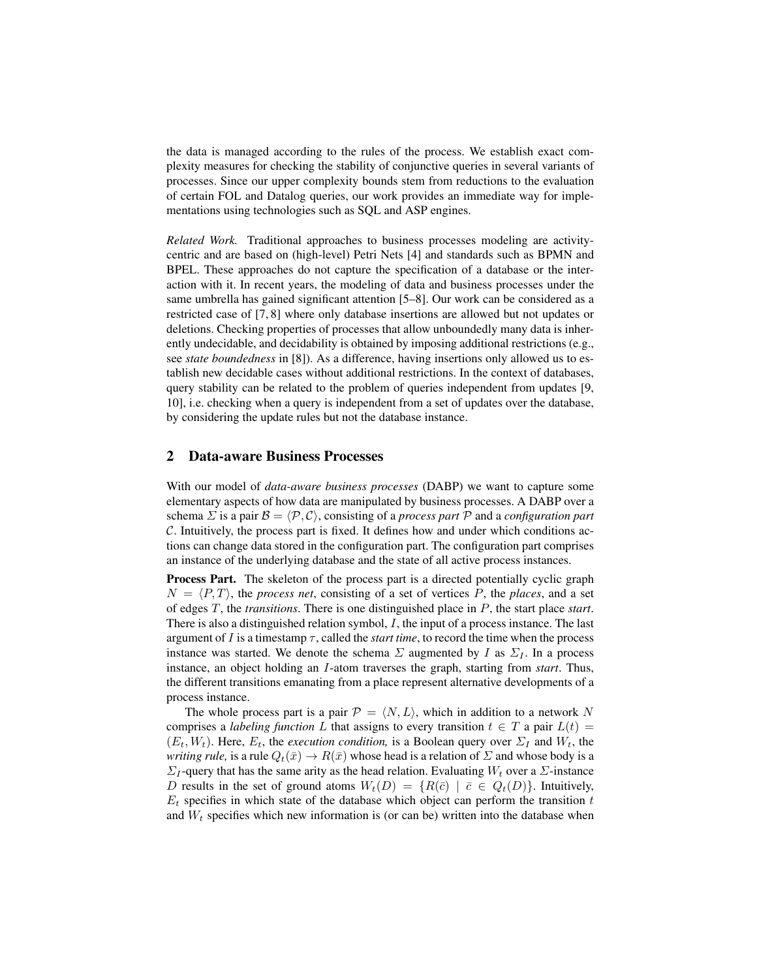the data is managed according to the rules of the process. We establish exact complexity measures for checking the stability of conjunctive queries in several variants of processes. Since our upper complexity bounds stem from reductions to the evaluation of certain FOL and Datalog queries, our work provides an immediate way for implementations using technologies such as SQL and ASP engines.

*Related Work.* Traditional approaches to business processes modeling are activitycentric and are based on (high-level) Petri Nets [4] and standards such as BPMN and BPEL. These approaches do not capture the specification of a database or the interaction with it. In recent years, the modeling of data and business processes under the same umbrella has gained significant attention [5–8]. Our work can be considered as a restricted case of [7, 8] where only database insertions are allowed but not updates or deletions. Checking properties of processes that allow unboundedly many data is inherently undecidable, and decidability is obtained by imposing additional restrictions (e.g., see *state boundedness* in [8]). As a difference, having insertions only allowed us to establish new decidable cases without additional restrictions. In the context of databases, query stability can be related to the problem of queries independent from updates [9, 10], i.e. checking when a query is independent from a set of updates over the database, by considering the update rules but not the database instance.

#### 2 Data-aware Business Processes

With our model of *data-aware business processes* (DABP) we want to capture some elementary aspects of how data are manipulated by business processes. A DABP over a schema  $\Sigma$  is a pair  $\mathcal{B} = \langle \mathcal{P}, \mathcal{C} \rangle$ , consisting of a *process part*  $\mathcal P$  and a *configuration part* C. Intuitively, the process part is fixed. It defines how and under which conditions actions can change data stored in the configuration part. The configuration part comprises an instance of the underlying database and the state of all active process instances.

Process Part. The skeleton of the process part is a directed potentially cyclic graph  $N = \langle P, T \rangle$ , the *process net*, consisting of a set of vertices P, the *places*, and a set of edges T, the *transitions*. There is one distinguished place in P, the start place *start*. There is also a distinguished relation symbol,  $I$ , the input of a process instance. The last argument of  $I$  is a timestamp  $\tau$ , called the *start time*, to record the time when the process instance was started. We denote the schema  $\Sigma$  augmented by I as  $\Sigma_I$ . In a process instance, an object holding an I-atom traverses the graph, starting from *start*. Thus, the different transitions emanating from a place represent alternative developments of a process instance.

The whole process part is a pair  $\mathcal{P} = \langle N, L \rangle$ , which in addition to a network N comprises a *labeling function* L that assigns to every transition  $t \in T$  a pair  $L(t) =$  $(E_t, W_t)$ . Here,  $E_t$ , the *execution condition*, is a Boolean query over  $\Sigma_I$  and  $W_t$ , the *writing rule,* is a rule  $Q_t(\bar{x}) \to R(\bar{x})$  whose head is a relation of  $\bar{\Sigma}$  and whose body is a  $\Sigma_I$ -query that has the same arity as the head relation. Evaluating  $W_t$  over a  $\Sigma$ -instance D results in the set of ground atoms  $W_t(D) = \{R(\bar{c}) \mid \bar{c} \in Q_t(D)\}\.$  Intuitively,  $E_t$  specifies in which state of the database which object can perform the transition t and  $W_t$  specifies which new information is (or can be) written into the database when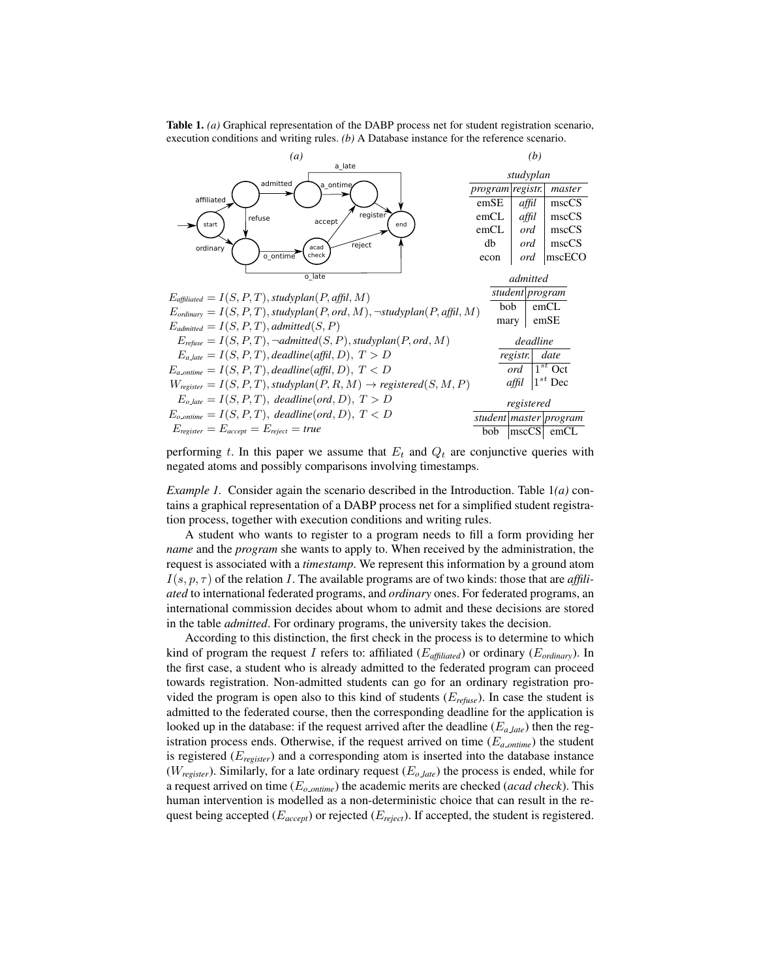Table 1. *(a)* Graphical representation of the DABP process net for student registration scenario, execution conditions and writing rules. *(b)* A Database instance for the reference scenario.



performing t. In this paper we assume that  $E_t$  and  $Q_t$  are conjunctive queries with negated atoms and possibly comparisons involving timestamps.

*Example 1.* Consider again the scenario described in the Introduction. Table 1*(a)* contains a graphical representation of a DABP process net for a simplified student registration process, together with execution conditions and writing rules.

A student who wants to register to a program needs to fill a form providing her *name* and the *program* she wants to apply to. When received by the administration, the request is associated with a *timestamp*. We represent this information by a ground atom  $I(s, p, \tau)$  of the relation I. The available programs are of two kinds: those that are *affiliated* to international federated programs, and *ordinary* ones. For federated programs, an international commission decides about whom to admit and these decisions are stored in the table *admitted*. For ordinary programs, the university takes the decision.

According to this distinction, the first check in the process is to determine to which kind of program the request I refers to: affiliated (E*affiliated*) or ordinary (E*ordinary*). In the first case, a student who is already admitted to the federated program can proceed towards registration. Non-admitted students can go for an ordinary registration provided the program is open also to this kind of students (E*refuse*). In case the student is admitted to the federated course, then the corresponding deadline for the application is looked up in the database: if the request arrived after the deadline (E*<sup>a</sup> late*) then the registration process ends. Otherwise, if the request arrived on time  $(E_{a\_online})$  the student is registered (E*register*) and a corresponding atom is inserted into the database instance ( $W_{register}$ ). Similarly, for a late ordinary request ( $E_{o\_\}$ ) the process is ended, while for a request arrived on time (E*<sup>o</sup> ontime*) the academic merits are checked (*acad check*). This human intervention is modelled as a non-deterministic choice that can result in the request being accepted (E*accept*) or rejected (E*reject*). If accepted, the student is registered.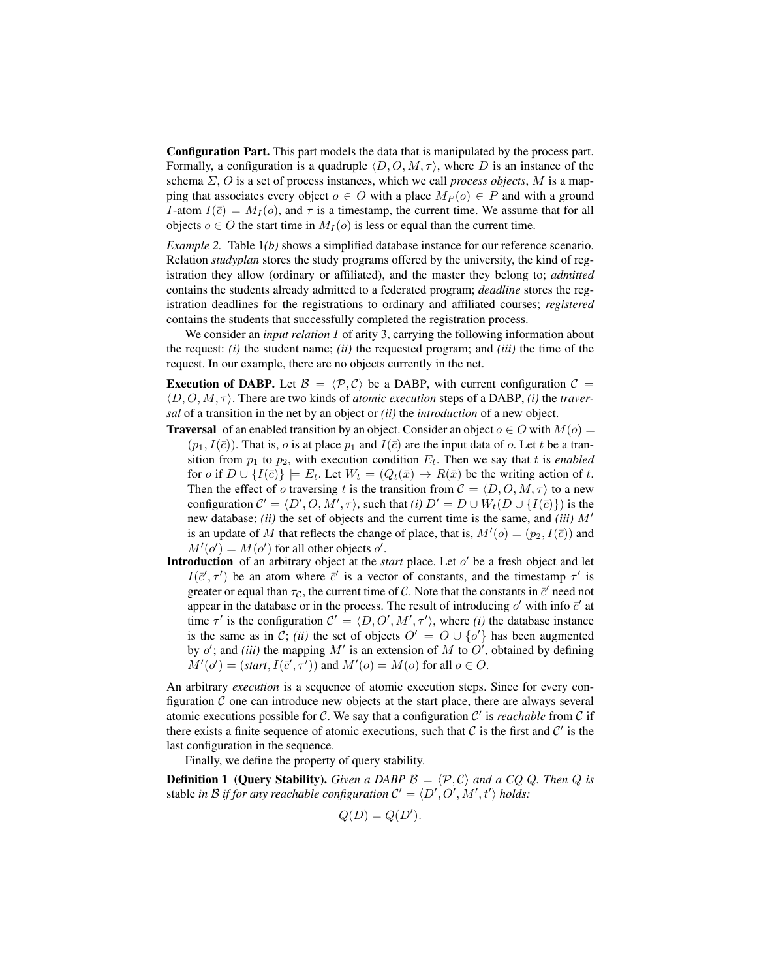Configuration Part. This part models the data that is manipulated by the process part. Formally, a configuration is a quadruple  $\langle D, O, M, \tau \rangle$ , where D is an instance of the schema Σ, O is a set of process instances, which we call *process objects*, M is a mapping that associates every object  $o \in O$  with a place  $M_P(o) \in P$  and with a ground I-atom  $I(\bar{c}) = M_I(o)$ , and  $\tau$  is a timestamp, the current time. We assume that for all objects  $o \in O$  the start time in  $M_I(o)$  is less or equal than the current time.

*Example 2.* Table 1*(b)* shows a simplified database instance for our reference scenario. Relation *studyplan* stores the study programs offered by the university, the kind of registration they allow (ordinary or affiliated), and the master they belong to; *admitted* contains the students already admitted to a federated program; *deadline* stores the registration deadlines for the registrations to ordinary and affiliated courses; *registered* contains the students that successfully completed the registration process.

We consider an *input relation* I of arity 3, carrying the following information about the request: *(i)* the student name; *(ii)* the requested program; and *(iii)* the time of the request. In our example, there are no objects currently in the net.

**Execution of DABP.** Let  $\mathcal{B} = \langle \mathcal{P}, \mathcal{C} \rangle$  be a DABP, with current configuration  $\mathcal{C} =$  $\langle D, O, M, \tau \rangle$ . There are two kinds of *atomic execution* steps of a DABP, *(i)* the *traversal* of a transition in the net by an object or *(ii)* the *introduction* of a new object.

- **Traversal** of an enabled transition by an object. Consider an object  $o \in O$  with  $M(o)$  =  $(p_1, I(\bar{c}))$ . That is, o is at place  $p_1$  and  $I(\bar{c})$  are the input data of o. Let t be a transition from  $p_1$  to  $p_2$ , with execution condition  $E_t$ . Then we say that t is *enabled* for o if  $D \cup \{I(\bar{c})\} \models E_t$ . Let  $W_t = (Q_t(\bar{x}) \rightarrow R(\bar{x})$  be the writing action of t. Then the effect of o traversing t is the transition from  $C = \langle D, O, M, \tau \rangle$  to a new configuration  $C' = \langle D', O, M', \tau \rangle$ , such that *(i)*  $D' = D \cup W_t(D \cup \{I(\bar{c})\})$  is the new database; *(ii)* the set of objects and the current time is the same, and *(iii)*  $M'$ is an update of M that reflects the change of place, that is,  $M'(o) = (p_2, I(\bar{c}))$  and  $M'(o') = M(o')$  for all other objects o'.
- Introduction of an arbitrary object at the *start* place. Let  $o'$  be a fresh object and let  $I(\bar{c}', \tau')$  be an atom where  $\bar{c}'$  is a vector of constants, and the timestamp  $\tau'$  is greater or equal than  $\tau_{\mathcal{C}}$ , the current time of  $\mathcal{C}$ . Note that the constants in  $\bar{c}'$  need not appear in the database or in the process. The result of introducing  $o'$  with info  $\bar{c}'$  at time  $\tau'$  is the configuration  $C' = \langle D, O', M', \tau' \rangle$ , where *(i)* the database instance is the same as in C; *(ii)* the set of objects  $O' = O \cup \{o'\}$  has been augmented by  $o'$ ; and *(iii)* the mapping  $M'$  is an extension of M to  $O'$ , obtained by defining  $M'(o') = (start, I(\bar{c}', \tau'))$  and  $M'(o) = M(o)$  for all  $o \in O$ .

An arbitrary *execution* is a sequence of atomic execution steps. Since for every configuration  $\mathcal C$  one can introduce new objects at the start place, there are always several atomic executions possible for  $C$ . We say that a configuration  $C'$  is *reachable* from  $C$  if there exists a finite sequence of atomic executions, such that  $\mathcal C$  is the first and  $\mathcal C'$  is the last configuration in the sequence.

Finally, we define the property of query stability.

**Definition 1 (Query Stability).** Given a DABP  $\mathcal{B} = \langle \mathcal{P}, \mathcal{C} \rangle$  and a CQ Q. Then Q is stable *in*  $\mathcal{B}$  *if for any reachable configuration*  $\mathcal{C}' = \langle D', O', M', t' \rangle$  *holds:* 

$$
Q(D) = Q(D').
$$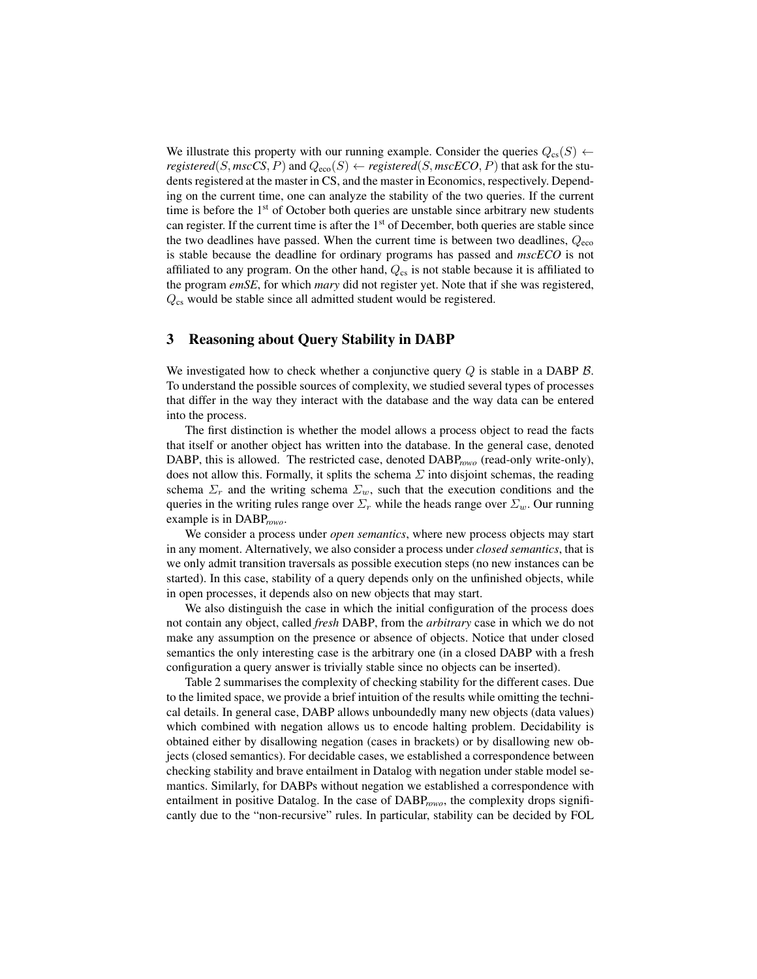We illustrate this property with our running example. Consider the queries  $Q_{cs}(S)$   $\leftarrow$ *registered*(S, *mscCS*, P) and  $Q_{\text{eco}}(S) \leftarrow$  *registered*(S, *mscECO*, P) that ask for the students registered at the master in CS, and the master in Economics, respectively. Depending on the current time, one can analyze the stability of the two queries. If the current time is before the 1<sup>st</sup> of October both queries are unstable since arbitrary new students can register. If the current time is after the  $1<sup>st</sup>$  of December, both queries are stable since the two deadlines have passed. When the current time is between two deadlines,  $Q_{\text{eco}}$ is stable because the deadline for ordinary programs has passed and *mscECO* is not affiliated to any program. On the other hand,  $Q_{cs}$  is not stable because it is affiliated to the program *emSE*, for which *mary* did not register yet. Note that if she was registered,  $Q_{\text{cs}}$  would be stable since all admitted student would be registered.

### 3 Reasoning about Query Stability in DABP

We investigated how to check whether a conjunctive query  $Q$  is stable in a DABP  $B$ . To understand the possible sources of complexity, we studied several types of processes that differ in the way they interact with the database and the way data can be entered into the process.

The first distinction is whether the model allows a process object to read the facts that itself or another object has written into the database. In the general case, denoted DABP, this is allowed. The restricted case, denoted DABP*rowo* (read-only write-only), does not allow this. Formally, it splits the schema  $\Sigma$  into disjoint schemas, the reading schema  $\Sigma_r$  and the writing schema  $\Sigma_w$ , such that the execution conditions and the queries in the writing rules range over  $\Sigma_r$  while the heads range over  $\Sigma_w$ . Our running example is in DABP*rowo*.

We consider a process under *open semantics*, where new process objects may start in any moment. Alternatively, we also consider a process under *closed semantics*, that is we only admit transition traversals as possible execution steps (no new instances can be started). In this case, stability of a query depends only on the unfinished objects, while in open processes, it depends also on new objects that may start.

We also distinguish the case in which the initial configuration of the process does not contain any object, called *fresh* DABP, from the *arbitrary* case in which we do not make any assumption on the presence or absence of objects. Notice that under closed semantics the only interesting case is the arbitrary one (in a closed DABP with a fresh configuration a query answer is trivially stable since no objects can be inserted).

Table 2 summarises the complexity of checking stability for the different cases. Due to the limited space, we provide a brief intuition of the results while omitting the technical details. In general case, DABP allows unboundedly many new objects (data values) which combined with negation allows us to encode halting problem. Decidability is obtained either by disallowing negation (cases in brackets) or by disallowing new objects (closed semantics). For decidable cases, we established a correspondence between checking stability and brave entailment in Datalog with negation under stable model semantics. Similarly, for DABPs without negation we established a correspondence with entailment in positive Datalog. In the case of DABP*rowo*, the complexity drops significantly due to the "non-recursive" rules. In particular, stability can be decided by FOL